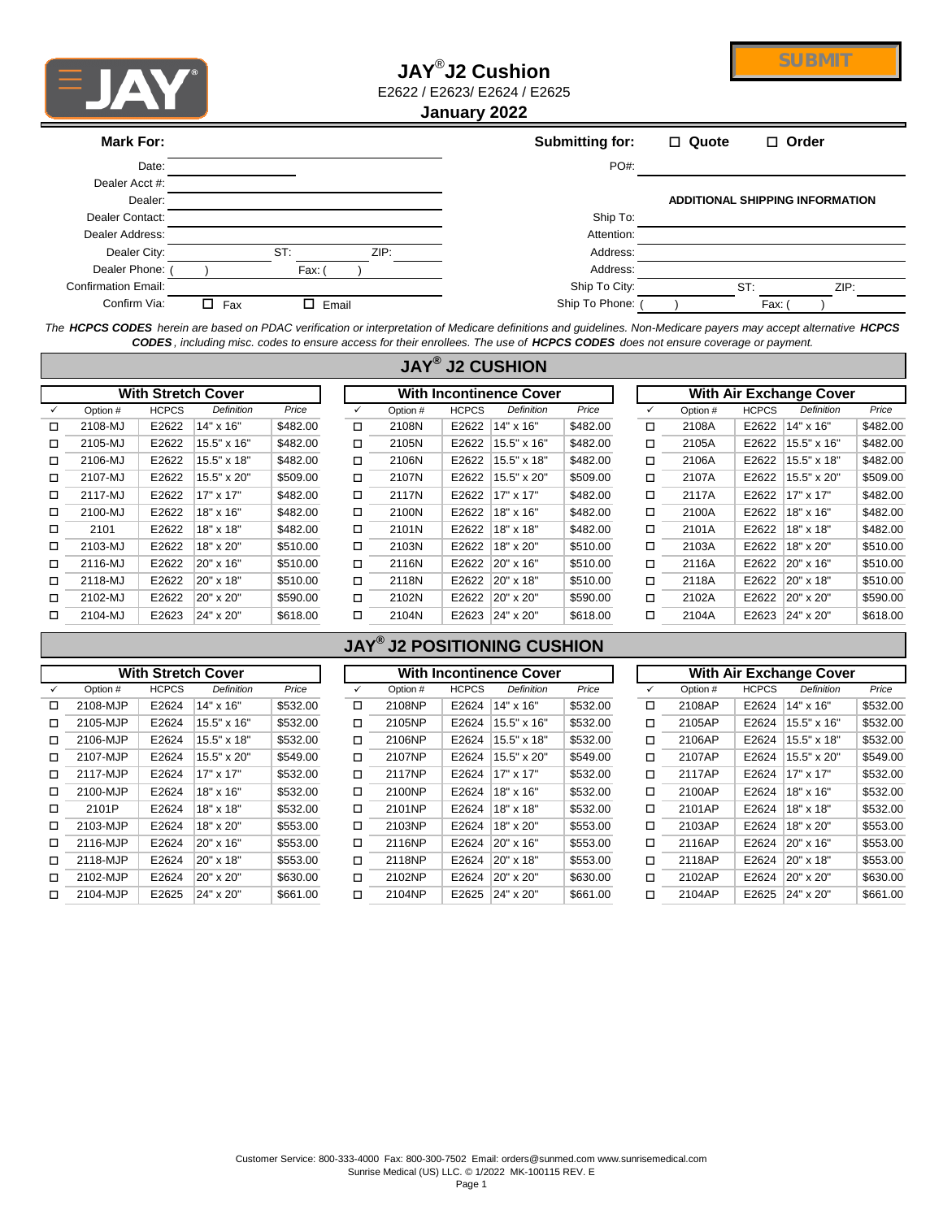

# **JAY**® **J2 Cushion** E2622 / E2623/ E2624 / E2625



**January 2022**

| Mark For:                  |          |        |       | Submitting for: | $\Box$ Quote | $\Box$ Order                           |  |
|----------------------------|----------|--------|-------|-----------------|--------------|----------------------------------------|--|
| Date:                      |          |        |       | $PO#$ :         |              |                                        |  |
| Dealer Acct #:             |          |        |       |                 |              |                                        |  |
| Dealer:                    |          |        |       |                 |              | <b>ADDITIONAL SHIPPING INFORMATION</b> |  |
| Dealer Contact:            |          |        |       | Ship To:        |              |                                        |  |
| Dealer Address:            |          |        |       | Attention:      |              |                                        |  |
| Dealer City:               |          | ST:    | ZIP:  | Address:        |              |                                        |  |
| Dealer Phone:              |          | Fax: ( |       | Address:        |              |                                        |  |
| <b>Confirmation Email:</b> |          |        |       | Ship To City:   |              | ST:<br>ZIP:                            |  |
| Confirm Via:               | Fax<br>п | п.     | Email | Ship To Phone:  |              | Fax:                                   |  |

*The HCPCS CODES herein are based on PDAC verification or interpretation of Medicare definitions and guidelines. Non-Medicare payers may accept alternative HCPCS CODES , including misc. codes to ensure access for their enrollees. The use of HCPCS CODES does not ensure coverage or payment.*

|   |          |              |                           |          |              |          |              | <b>JAY<sup>®</sup> J2 CUSHION</b> |          |   |                                |              |                   |          |  |  |
|---|----------|--------------|---------------------------|----------|--------------|----------|--------------|-----------------------------------|----------|---|--------------------------------|--------------|-------------------|----------|--|--|
|   |          |              | <b>With Stretch Cover</b> |          |              |          |              | <b>With Incontinence Cover</b>    |          |   | <b>With Air Exchange Cover</b> |              |                   |          |  |  |
|   | Option # | <b>HCPCS</b> | <b>Definition</b>         | Price    | $\checkmark$ | Option # | <b>HCPCS</b> | <b>Definition</b>                 | Price    |   | Option #                       | <b>HCPCS</b> | <b>Definition</b> | Price    |  |  |
| □ | 2108-MJ  | E2622        | 14" x 16"                 | \$482.00 | □            | 2108N    | E2622        | 14" x 16"                         | \$482.00 | □ | 2108A                          | E2622        | 14" x 16"         | \$482.00 |  |  |
| □ | 2105-MJ  | E2622        | 15.5" x 16"               | \$482.00 | □            | 2105N    | E2622        | 15.5" x 16"                       | \$482.00 | □ | 2105A                          | E2622        | 15.5" x 16"       | \$482.00 |  |  |
| □ | 2106-MJ  | E2622        | 15.5" x 18"               | \$482.00 | $\Box$       | 2106N    | E2622        | 15.5" x 18"                       | \$482.00 | □ | 2106A                          | E2622        | 15.5" x 18"       | \$482.00 |  |  |
| □ | 2107-MJ  | E2622        | 15.5" x 20"               | \$509.00 | □            | 2107N    | E2622        | 15.5" x 20"                       | \$509.00 | □ | 2107A                          | E2622        | 15.5" x 20"       | \$509.00 |  |  |
| □ | 2117-MJ  | E2622        | 17" x 17"                 | \$482.00 | □            | 2117N    | E2622        | 17" x 17"                         | \$482.00 | □ | 2117A                          | E2622        | 17" x 17"         | \$482.00 |  |  |
| □ | 2100-MJ  | E2622        | 18" x 16"                 | \$482.00 | □            | 2100N    | E2622        | 18" x 16"                         | \$482.00 | □ | 2100A                          | E2622        | 18" x 16"         | \$482.00 |  |  |
| □ | 2101     | E2622        | 18" x 18"                 | \$482.00 | □            | 2101N    | E2622        | 18" x 18"                         | \$482.00 | □ | 2101A                          | E2622        | 18" x 18"         | \$482.00 |  |  |
| □ | 2103-MJ  | E2622        | 18" x 20"                 | \$510.00 | $\Box$       | 2103N    | E2622        | 18" x 20"                         | \$510.00 | □ | 2103A                          | E2622        | 18" x 20"         | \$510.00 |  |  |
| □ | 2116-MJ  | E2622        | 20" x 16"                 | \$510.00 | $\Box$       | 2116N    | E2622        | $ 20" \times 16"$                 | \$510.00 | □ | 2116A                          | E2622        | 20" x 16"         | \$510.00 |  |  |
| □ | 2118-MJ  | E2622        | 20" x 18"                 | \$510.00 | $\Box$       | 2118N    | E2622        | 20" x 18"                         | \$510.00 | □ | 2118A                          | E2622        | 20" x 18"         | \$510.00 |  |  |
| □ | 2102-MJ  | E2622        | 20" x 20"                 | \$590.00 | п            | 2102N    | E2622        | 20" x 20"                         | \$590.00 | □ | 2102A                          | E2622        | 20" x 20"         | \$590.00 |  |  |
| ◻ | 2104-MJ  | E2623        | 24" x 20"                 | \$618.00 | $\Box$       | 2104N    | E2623        | $24" \times 20"$                  | \$618.00 | □ | 2104A                          | E2623        | 24" x 20"         | \$618.00 |  |  |

### **JAY® J2 POSITIONING CUSHION**

|        |          |              | <b>With Stretch Cover</b> |          | <b>With Incontinence Cover</b> |          |              |                   |          |   | <b>With Air Exchange Cover</b> |              |                   |          |  |
|--------|----------|--------------|---------------------------|----------|--------------------------------|----------|--------------|-------------------|----------|---|--------------------------------|--------------|-------------------|----------|--|
|        | Option # | <b>HCPCS</b> | <b>Definition</b>         | Price    |                                | Option # | <b>HCPCS</b> | <b>Definition</b> | Price    |   | Option #                       | <b>HCPCS</b> | <b>Definition</b> | Price    |  |
| □      | 2108-MJP | E2624        | 14" x 16"                 | \$532.00 | □                              | 2108NP   | E2624        | 14" x 16"         | \$532.00 | О | 2108AP                         | E2624        | 14" x 16"         | \$532.00 |  |
| □      | 2105-MJP | E2624        | 15.5" x 16"               | \$532.00 | □                              | 2105NP   | E2624        | 15.5" x 16"       | \$532.00 | □ | 2105AP                         | E2624        | 15.5" x 16"       | \$532.00 |  |
| О      | 2106-MJP | E2624        | 15.5" x 18"               | \$532.00 | ◻                              | 2106NP   | E2624        | 15.5" x 18"       | \$532.00 | □ | 2106AP                         | E2624        | 15.5" x 18"       | \$532.00 |  |
| □      | 2107-MJP | E2624        | 15.5" x 20"               | \$549.00 | □                              | 2107NP   | E2624        | 15.5" x 20"       | \$549.00 | □ | 2107AP                         | E2624        | 15.5" x 20"       | \$549.00 |  |
| □      | 2117-MJP | E2624        | 17" x 17"                 | \$532.00 | □                              | 2117NP   | E2624        | 17" x 17"         | \$532.00 | □ | 2117AP                         | E2624        | 17" x 17"         | \$532.00 |  |
| □      | 2100-MJP | E2624        | 18" x 16"                 | \$532.00 | ◻                              | 2100NP   | E2624        | 18" x 16"         | \$532.00 | О | 2100AP                         | E2624        | 18" x 16"         | \$532.00 |  |
| $\Box$ | 2101P    | E2624        | 18" x 18"                 | \$532.00 | ◻                              | 2101NP   | E2624        | 18" x 18"         | \$532.00 | О | 2101AP                         | E2624        | 18" x 18"         | \$532.00 |  |
| П      | 2103-MJP | E2624        | 18" x 20"                 | \$553.00 | П                              | 2103NP   | E2624        | 18" x 20"         | \$553.00 | О | 2103AP                         | E2624        | 18" x 20"         | \$553.00 |  |
| □      | 2116-MJP | E2624        | 20" x 16"                 | \$553.00 | ◻                              | 2116NP   | E2624        | 20" x 16"         | \$553.00 | □ | 2116AP                         | E2624        | 20" x 16"         | \$553.00 |  |
| □      | 2118-MJP | E2624        | 20" x 18"                 | \$553.00 | □                              | 2118NP   | E2624        | 20" x 18"         | \$553.00 | □ | 2118AP                         | E2624        | 20" x 18"         | \$553.00 |  |
| П      | 2102-MJP | E2624        | 20" x 20"                 | \$630.00 | П                              | 2102NP   | E2624        | 20" x 20"         | \$630.00 | О | 2102AP                         | E2624        | 20" x 20"         | \$630.00 |  |
| □      | 2104-MJP | E2625        | 24" x 20"                 | \$661.00 | □                              | 2104NP   | E2625        | 24" x 20"         | \$661.00 | О | 2104AP                         | E2625        | 24" x 20"         | \$661.00 |  |

|          |              | <b>With Stretch Cover</b> |          | <b>With Incontinence Cover</b> |          |              |                   |          |              | <b>With Air Exchange Cover</b> |              |                  |          |  |  |
|----------|--------------|---------------------------|----------|--------------------------------|----------|--------------|-------------------|----------|--------------|--------------------------------|--------------|------------------|----------|--|--|
| Option # | <b>HCPCS</b> | Definition                | Price    |                                | Option # | <b>HCPCS</b> | <b>Definition</b> | Price    | $\checkmark$ | Option #                       | <b>HCPCS</b> | Definition       | Price    |  |  |
| 2108-MJP | E2624        | 14" x 16"                 | \$532.00 | ◻                              | 2108NP   | E2624        | $14" \times 16"$  | \$532.00 | □            | 2108AP                         | E2624        | 14" x 16"        | \$532.00 |  |  |
| 2105-MJP | E2624        | 15.5" x 16"               | \$532.00 | ◻                              | 2105NP   | E2624        | 15.5" x 16"       | \$532.00 | □            | 2105AP                         | E2624        | 15.5" x 16"      | \$532.00 |  |  |
| 2106-MJP | E2624        | 15.5" x 18"               | \$532.00 | ◻                              | 2106NP   | E2624        | 15.5" x 18"       | \$532.00 | $\Box$       | 2106AP                         | E2624        | 15.5" x 18"      | \$532.00 |  |  |
| 2107-MJP | E2624        | 15.5" x 20"               | \$549.00 | ◻                              | 2107NP   | E2624        | 15.5" x 20"       | \$549.00 | □            | 2107AP                         | E2624        | 15.5" x 20"      | \$549.00 |  |  |
| 2117-MJP | E2624        | $17" \times 17"$          | \$532.00 | ◻                              | 2117NP   | E2624        | 17" x 17"         | \$532.00 | □            | 2117AP                         | E2624        | 17" x 17"        | \$532.00 |  |  |
| 2100-MJP | E2624        | 18" x 16"                 | \$532.00 | ◻                              | 2100NP   | E2624        | 18" x 16"         | \$532.00 | □            | 2100AP                         | E2624        | $18" \times 16"$ | \$532.00 |  |  |
| 2101P    | E2624        | 18" x 18"                 | \$532.00 | ◻                              | 2101NP   | E2624        | 18" x 18"         | \$532.00 | $\Box$       | 2101AP                         | E2624        | 18" x 18"        | \$532.00 |  |  |
| 2103-MJP | E2624        | 18" x 20"                 | \$553.00 | $\Box$                         | 2103NP   | E2624        | 18" x 20"         | \$553.00 | $\Box$       | 2103AP                         | E2624        | $18" \times 20"$ | \$553.00 |  |  |
| 2116-MJP | E2624        | 20" x 16"                 | \$553.00 | □                              | 2116NP   | E2624        | 20" x 16"         | \$553.00 | □            | 2116AP                         | E2624        | $20" \times 16"$ | \$553.00 |  |  |
| 2118-MJP | E2624        | 20" x 18"                 | \$553.00 | □                              | 2118NP   | E2624        | 20" x 18"         | \$553.00 | □            | 2118AP                         | E2624        | 20" x 18"        | \$553.00 |  |  |
| 2102-MJP | E2624        | 20" x 20"                 | \$630.00 | ◻                              | 2102NP   | E2624        | 20" x 20"         | \$630.00 | $\Box$       | 2102AP                         | E2624        | 20" x 20"        | \$630.00 |  |  |
| 2104-MJP | E2625        | 24" x 20"                 | \$661.00 | ◻                              | 2104NP   | E2625        | 24" x 20"         | \$661.00 | $\Box$       | 2104AP                         | E2625        | 24" x 20"        | \$661.00 |  |  |
|          |              |                           |          |                                |          |              |                   |          |              |                                |              |                  |          |  |  |

| <b>With Air Exchange Cover</b> |          |              |                    |          |  |  |  |  |  |  |  |
|--------------------------------|----------|--------------|--------------------|----------|--|--|--|--|--|--|--|
| ✓                              | Option # | <b>HCPCS</b> | Definition         | Price    |  |  |  |  |  |  |  |
| п                              | 2108AP   | E2624        | 14" x 16"          | \$532.00 |  |  |  |  |  |  |  |
| п                              | 2105AP   | E2624        | $15.5" \times 16"$ | \$532.00 |  |  |  |  |  |  |  |
| п                              | 2106AP   | E2624        | 15.5" x 18"        | \$532.00 |  |  |  |  |  |  |  |
| п                              | 2107AP   | E2624        | $15.5" \times 20"$ | \$549.00 |  |  |  |  |  |  |  |
| п                              | 2117AP   | E2624        | 17" x 17"          | \$532.00 |  |  |  |  |  |  |  |
| п                              | 2100AP   | E2624        | 18" x 16"          | \$532.00 |  |  |  |  |  |  |  |
| п                              | 2101AP   | E2624        | 18" x 18"          | \$532.00 |  |  |  |  |  |  |  |
| п                              | 2103AP   | E2624        | $18" \times 20"$   | \$553.00 |  |  |  |  |  |  |  |
| п                              | 2116AP   | E2624        | $20" \times 16"$   | \$553.00 |  |  |  |  |  |  |  |
| п                              | 2118AP   | E2624        | 20" x 18"          | \$553.00 |  |  |  |  |  |  |  |
| п                              | 2102AP   | E2624        | $20" \times 20"$   | \$630.00 |  |  |  |  |  |  |  |
| п                              | 2104AP   | E2625        | 24" x 20"          | \$661.00 |  |  |  |  |  |  |  |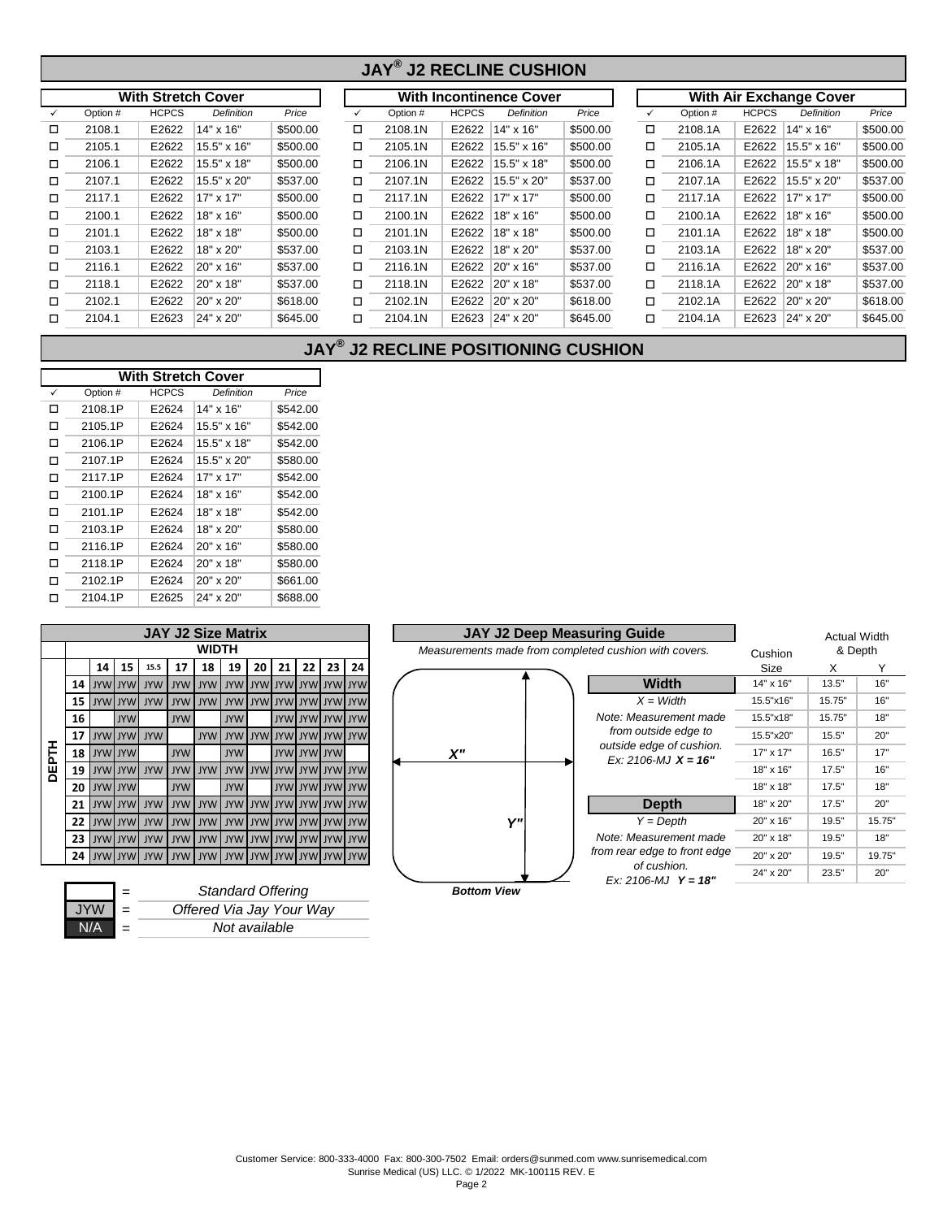#### $\checkmark$  Option # HCPCS Definition Price  $\checkmark$  Option # HCPCS Definition Price  $\checkmark$  $\Box$  2108.1 | E2622 | 14" x 16" | \$500.00  $\Box$  2108.1N | E2622 | 14" x 16" | \$500.00  $\Box$ o o o 2105.1 E2622 15.5" x 16" \$500.00 2105.1N E2622 15.5" x 16" \$500.00 2105.1A E2622 15.5" x 16" \$500.00 o o o 2106.1 E2622 15.5" x 18" \$500.00 2106.1N E2622 15.5" x 18" \$500.00 2106.1A E2622 15.5" x 18" \$500.00 o o o 2107.1 E2622 15.5" x 20" \$537.00 2107.1N E2622 15.5" x 20" \$537.00 2107.1A E2622 15.5" x 20" \$537.00  $\Box$  2117.1 | E2622 |17" x 17" | \$500.00  $\Box$  2117.1N | E2622 | 17" x 17" | \$500.00  $\Box$ □ 2100.1 E2622 18" x 16" \$500.00 □ 2100.1N E2622 18" x 16" \$500.00 □  $\Box$  2101.1 E2622 18" x 18" \$500.00  $\Box$  2101.1N E2622 18" x 18" \$500.00  $\Box$ o o o 2103.1 E2622 18" x 20" \$537.00 2103.1N E2622 18" x 20" \$537.00 2103.1A E2622 18" x 20" \$537.00 o o o 2116.1 E2622 20" x 16" \$537.00 2116.1N E2622 20" x 16" \$537.00 2116.1A E2622 20" x 16" \$537.00  $\Box$  2118.1 | E2622 | 20" x 18" | \$537.00  $\Box$  2118.1N | E2622 | 20" x 18" | \$537.00  $\Box$ □ 2102.1 E2622 20" x 20" \$618.00 □ 2102.1N E2622 20" x 20" \$618.00 □ 2102.1 │ E2622 │20" x 20" │ \$618.00 ロ 2102.1N │ E2622 │20" x 20" │ \$618.00 ロ 2102.1A │ E2622 │20" x 20" │ \$618.00 2118.1A | E2622 20" x 18" | \$537.00 2101.1 │ E2622 │18" x 18" │ \$500.00 ロ 2101.1N │ E2622 │18" x 18" │ \$500.00 ロ 2101.1A │ E2622 │18" x 18" │ \$500.00 2100.1 │ E2622 │18" x 16" │ \$500.00 ロ 2100.1N │ E2622 │18" x 16" │ \$500.00 ロ 2100.1A │ E2622 │18" x 16" │ \$500.00 2117.1 E2622 17" x 17" \$500.00 2117.1N E2622 17" x 17" \$500.00 2117.1A E2622 17" x 17" \$500.00 2108.1A | E2622 | 14" x 16" | \$500.00 **JAY® J2 RECLINE CUSHION With Stretch Cover With Incontinence Cover With Air Exchange Cover** Option # HCPCS *Definition Price* Option # HCPCS *Definition Price* Option # HCPCS *Definition Price*

#### **JAY® J2 RECLINE POSITIONING CUSHION**

2104.1 │ E2623 │24" x 20" │ \$645.00 ロ 2104.1N │ E2623 │24" x 20" │ \$645.00 ロ 2104.1A │ E2623 │24" x 20" │ \$645.00

 $\square$  2104.1 E2623 24" x 20" \$645.00  $\square$  2104.1N E2623 24" x 20" \$645.00  $\square$ 

| <b>With Stretch Cover</b> |          |              |                  |          |  |  |  |  |  |  |
|---------------------------|----------|--------------|------------------|----------|--|--|--|--|--|--|
| ✓                         | Option # | <b>HCPCS</b> | Definition       | Price    |  |  |  |  |  |  |
| п                         | 2108.1P  | E2624        | 14" x 16"        | \$542.00 |  |  |  |  |  |  |
| п                         | 2105.1P  | E2624        | 15.5" x 16"      | \$542.00 |  |  |  |  |  |  |
| п                         | 2106.1P  | E2624        | 15.5" x 18"      | \$542.00 |  |  |  |  |  |  |
| п                         | 2107.1P  | E2624        | 15.5" x 20"      | \$580.00 |  |  |  |  |  |  |
| □                         | 2117.1P  | E2624        | 17" x 17"        | \$542.00 |  |  |  |  |  |  |
| п                         | 2100.1P  | E2624        | 18" x 16"        | \$542.00 |  |  |  |  |  |  |
| п                         | 2101.1P  | E2624        | 18" x 18"        | \$542.00 |  |  |  |  |  |  |
| п                         | 2103.1P  | E2624        | 18" x 20"        | \$580.00 |  |  |  |  |  |  |
| п                         | 2116.1P  | E2624        | $20" \times 16"$ | \$580.00 |  |  |  |  |  |  |
| п                         | 2118.1P  | E2624        | $20" \times 18"$ | \$580.00 |  |  |  |  |  |  |
| п                         | 2102.1P  | E2624        | $20" \times 20"$ | \$661.00 |  |  |  |  |  |  |
| п                         | 2104.1P  | E2625        | 24" x 20"        | \$688.00 |  |  |  |  |  |  |
|                           |          |              |                  |          |  |  |  |  |  |  |

|              | <b>JAY J2 Size Matrix</b> |            |                 |            |            |              |            |            |            |    |                     |    |  |  |  |
|--------------|---------------------------|------------|-----------------|------------|------------|--------------|------------|------------|------------|----|---------------------|----|--|--|--|
|              |                           |            |                 |            |            | <b>WIDTH</b> |            |            |            |    |                     |    |  |  |  |
|              |                           | 14         | 15              | 15.5       | 17         | 18           | 19         | 20         | 21         | 22 | 23                  | 24 |  |  |  |
|              | 14                        | <b>JYW</b> | <b>JYW</b>      | <b>JYW</b> | <b>JYW</b> | <b>JYW</b>   | <b>JYW</b> | <b>JYW</b> | <b>JYW</b> |    | <b>JYW JYW JYW</b>  |    |  |  |  |
|              | 15                        | <b>JYW</b> | <b>JYW</b>      | <b>JYW</b> | <b>JYW</b> | <b>JYW</b>   | <b>JYW</b> | <b>JYW</b> | <b>JYW</b> |    | <b>UYW JYW JYW</b>  |    |  |  |  |
|              | 16                        |            | <b>JYW</b>      |            | <b>JYW</b> |              | <b>JYW</b> |            | <b>JYW</b> |    | <b>JYW JYW JYW</b>  |    |  |  |  |
|              | 17                        | <b>JYW</b> | <b>JYW</b>      | <b>JYW</b> |            | <b>JYW</b>   | <b>JYW</b> | <b>JYW</b> | <b>JYW</b> |    | <b>JYW JYW JYW</b>  |    |  |  |  |
|              | 18                        | <b>JYW</b> | <b>JYW</b>      |            | <b>JYW</b> |              | <b>JYW</b> |            | <b>JYW</b> |    | <b>JYWIJYW</b>      |    |  |  |  |
| <b>DEPTH</b> | 19                        | <b>JYW</b> | <b>JYW</b>      | <b>JYW</b> | <b>JYW</b> | <b>JYW</b>   | <b>JYW</b> | <b>JYW</b> | <b>JYW</b> |    | <b>UYW JYW JYW</b>  |    |  |  |  |
|              | 20                        |            | <b>UYW JYW</b>  |            | <b>JYW</b> |              | <b>JYW</b> |            | <b>JYW</b> |    | <b>JYW JYW JYW</b>  |    |  |  |  |
|              | 21                        |            | <b>WYL IVYU</b> | <b>JYW</b> | <b>JYW</b> | <b>JYW</b>   | <b>JYW</b> | <b>JYW</b> | <b>JYW</b> |    | <b>UYW JYW JYW</b>  |    |  |  |  |
|              | 22                        |            | <b>WYL IVYU</b> | <b>JYW</b> | <b>JYW</b> | <b>JYW</b>   | <b>JYW</b> | <b>JYW</b> | <b>JYW</b> |    | <b>JYW JYW JYW</b>  |    |  |  |  |
|              | 23                        |            | <b>UYW JYW</b>  | <b>JYW</b> | <b>JYW</b> | <b>JYW</b>   | <b>JYW</b> | <b>JYW</b> |            |    | WYL WYL WYL WYL     |    |  |  |  |
|              | 24                        |            | <b>UYW JYW</b>  | <b>JYW</b> | <b>JYW</b> | <b>JYW</b>   | <b>JYW</b> |            |            |    | WYLIWYLIWYLIWYLIWYL |    |  |  |  |
|              |                           |            |                 |            |            |              |            |            |            |    |                     |    |  |  |  |

|            |     | <b>Standard Offering</b> |
|------------|-----|--------------------------|
| <b>JYW</b> | $=$ | Offered Via Jay Your Way |
|            |     | Not available            |
|            |     |                          |

|             | <b>JAY J2 Size Matrix</b>           |              |                                 |    |                 |                        |    |    | <b>JAY J2 Deep Measuring Guide</b> |     | <b>Actual Width</b>                                   |           |         |        |
|-------------|-------------------------------------|--------------|---------------------------------|----|-----------------|------------------------|----|----|------------------------------------|-----|-------------------------------------------------------|-----------|---------|--------|
|             |                                     | <b>WIDTH</b> |                                 |    |                 |                        |    |    |                                    |     | Measurements made from completed cushion with covers. | Cushion   | & Depth |        |
| 15.5        | 17                                  | 18           | 19                              | 20 | 21 <sub>1</sub> | 22                     | 23 | 24 |                                    |     |                                                       | Size      | X       |        |
| <b>JYW</b>  |                                     |              | WYL WYL WYL WYL WYL WYL WYL WYL |    |                 |                        |    |    |                                    |     | <b>Width</b>                                          | 14" x 16" | 13.5"   | 16"    |
|             | WYLIWYLIWYLIWYLIWYLIWYLIWYLIWYLIWYL |              |                                 |    |                 |                        |    |    |                                    |     | $X = Width$                                           | 15.5"x16" | 15.75"  | 16"    |
|             | <b>JYW</b>                          |              | <b>JYW</b>                      |    |                 | <b>WYLIWYLIWYLIWYL</b> |    |    |                                    |     | Note: Measurement made                                | 15.5"x18" | 15.75"  | 18"    |
| <b>JYW</b>  |                                     |              | WYL WYL WYL WYL WYL WYL WYL     |    |                 |                        |    |    |                                    |     | from outside edge to                                  | 15.5"x20" | 15.5"   | 20"    |
|             | <b>JYW</b>                          |              | <b>JYW</b>                      |    |                 | JYW JYW JYW            |    |    | χ"                                 |     | outside edge of cushion.<br>Ex: 2106-MJ $X = 16"$     | 17" x 17" | 16.5"   | 17"    |
| <b>NYVL</b> | WYL WYL WYL WYL WYL WYL WYL WYL     |              |                                 |    |                 |                        |    |    |                                    |     |                                                       | 18" x 16" | 17.5"   | 16"    |
|             | <b>JYW</b>                          |              | <b>JYW</b>                      |    |                 | <b>WYLIWYLIWYLIWYL</b> |    |    |                                    |     |                                                       | 18" x 18" | 17.5"   | 18"    |
|             | IWYLIWYLIWYLIWYLIWYLIWYLIWYLIWYLI   |              |                                 |    |                 |                        |    |    |                                    |     | <b>Depth</b>                                          | 18" x 20" | 17.5"   | 20"    |
|             | WYL WYL WYL WYL WYL WYL WYL WYL WYL |              |                                 |    |                 |                        |    |    |                                    | V'' | $Y = Depth$                                           | 20" x 16" | 19.5"   | 15.75" |
|             | WYL WYL WYL WYL WYL WYL WYL WYL WYL |              |                                 |    |                 |                        |    |    |                                    |     | Note: Measurement made                                | 20" x 18" | 19.5"   | 18"    |
|             | WYL WYL WYL WYL WYL WYL WYL WYL WYL |              |                                 |    |                 |                        |    |    |                                    |     | from rear edge to front edge                          | 20" x 20" | 19.5"   | 19.75" |
|             |                                     |              |                                 |    |                 |                        |    |    |                                    |     | of cushion.<br>Ex: 2106-MJ $Y = 18"$                  | 24" x 20" | 23.5"   | 20"    |
|             |                                     |              | Standard Offering               |    |                 |                        |    |    | <b>Bottom View</b>                 |     |                                                       |           |         |        |

### Customer Service: 800-333-4000 Fax: 800-300-7502 Email: orders@sunmed.com www.sunrisemedical.com Sunrise Medical (US) LLC. © 1/2022 MK-100115 REV. E